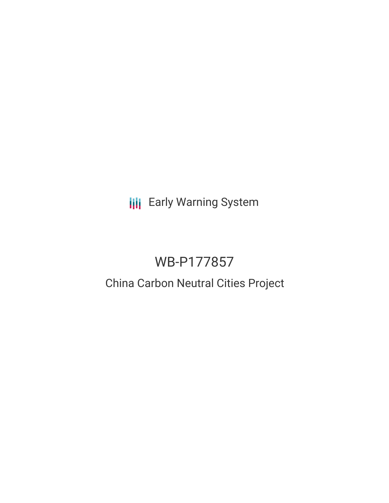**III** Early Warning System

# WB-P177857

# China Carbon Neutral Cities Project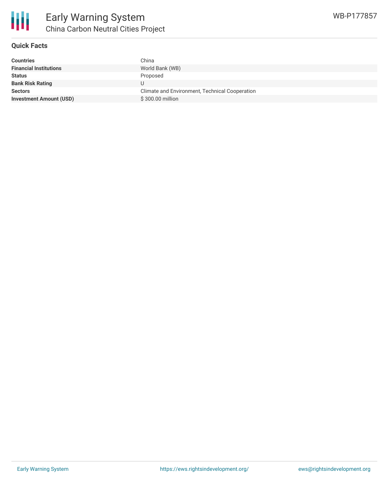

# **Quick Facts**

| <b>Countries</b>               | China                                          |
|--------------------------------|------------------------------------------------|
| <b>Financial Institutions</b>  | World Bank (WB)                                |
| <b>Status</b>                  | Proposed                                       |
| <b>Bank Risk Rating</b>        |                                                |
| <b>Sectors</b>                 | Climate and Environment, Technical Cooperation |
| <b>Investment Amount (USD)</b> | \$300.00 million                               |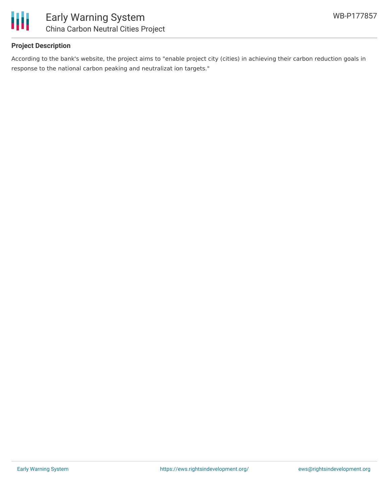

### **Project Description**

According to the bank's website, the project aims to "enable project city (cities) in achieving their carbon reduction goals in response to the national carbon peaking and neutralizat ion targets."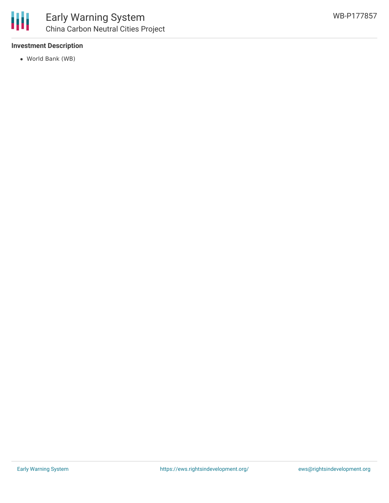

#### **Investment Description**

World Bank (WB)